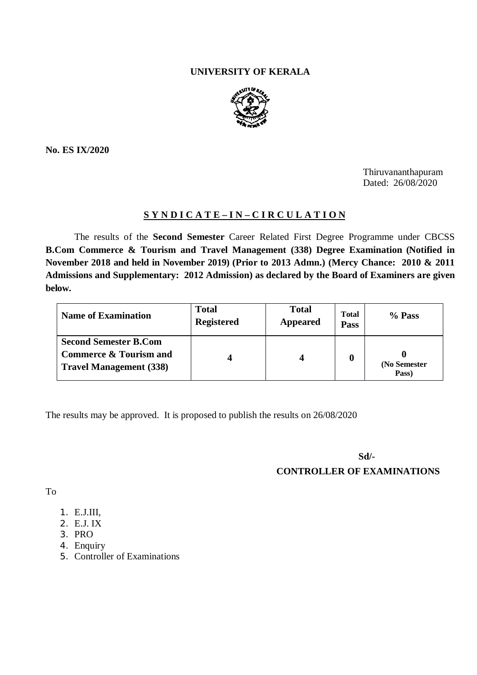# **UNIVERSITY OF KERALA**



**No. ES IX/2020**

Thiruvananthapuram Dated: 26/08/2020

# **S Y N D I C A T E – I N – C I R C U L A T I O N**

The results of the **Second Semester** Career Related First Degree Programme under CBCSS **B.Com Commerce & Tourism and Travel Management (338) Degree Examination (Notified in November 2018 and held in November 2019) (Prior to 2013 Admn.) (Mercy Chance: 2010 & 2011 Admissions and Supplementary: 2012 Admission) as declared by the Board of Examiners are given below.**

| <b>Name of Examination</b>                                                                          | <b>Total</b><br><b>Registered</b> | <b>Total</b><br><b>Appeared</b> | <b>Total</b><br>Pass | % Pass                |
|-----------------------------------------------------------------------------------------------------|-----------------------------------|---------------------------------|----------------------|-----------------------|
| <b>Second Semester B.Com</b><br><b>Commerce &amp; Tourism and</b><br><b>Travel Management (338)</b> |                                   |                                 |                      | (No Semester<br>Pass) |

The results may be approved. It is proposed to publish the results on 26/08/2020

**Sd/-**

**CONTROLLER OF EXAMINATIONS**

To

- 1. E.J.III,
- 2. E.J. IX
- 3. PRO
- 4. Enquiry
- 5. Controller of Examinations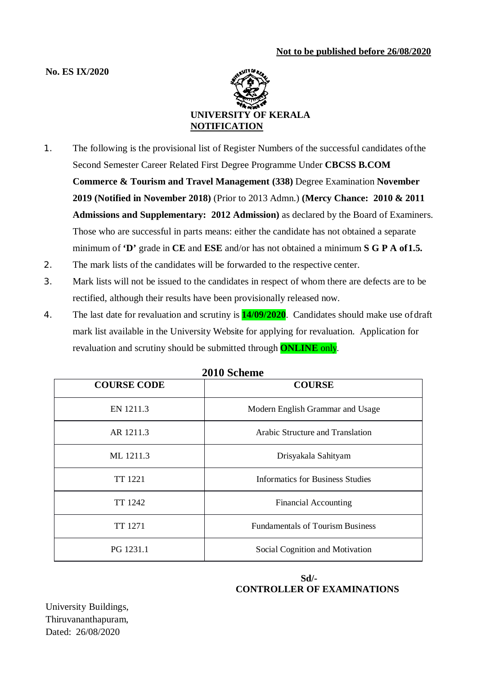# **No. ES IX/2020**



- 1. The following is the provisional list of Register Numbers of the successful candidates ofthe Second Semester Career Related First Degree Programme Under **CBCSS B.COM Commerce & Tourism and Travel Management (338)** Degree Examination **November 2019 (Notified in November 2018)** (Prior to 2013 Admn.) **(Mercy Chance: 2010 & 2011 Admissions and Supplementary: 2012 Admission)** as declared by the Board of Examiners. Those who are successful in parts means: either the candidate has not obtained a separate minimum of **'D'** grade in **CE** and **ESE** and/or has not obtained a minimum **S G P A of1.5.**
- 2. The mark lists of the candidates will be forwarded to the respective center.
- 3. Mark lists will not be issued to the candidates in respect of whom there are defects are to be rectified, although their results have been provisionally released now.
- 4. The last date for revaluation and scrutiny is **14/09/2020**. Candidates should make use ofdraft mark list available in the University Website for applying for revaluation. Application for revaluation and scrutiny should be submitted through **ONLINE** only.

| <b>COURSE CODE</b> | ZVIV DURUMU<br><b>COURSE</b>            |  |
|--------------------|-----------------------------------------|--|
| EN 1211.3          | Modern English Grammar and Usage        |  |
| AR 1211.3          | Arabic Structure and Translation        |  |
| ML 1211.3          | Drisyakala Sahityam                     |  |
| TT 1221            | Informatics for Business Studies        |  |
| TT 1242            | <b>Financial Accounting</b>             |  |
| TT 1271            | <b>Fundamentals of Tourism Business</b> |  |
| PG 1231.1          | Social Cognition and Motivation         |  |

**2010 Scheme**

# **Sd/- CONTROLLER OF EXAMINATIONS**

University Buildings, Thiruvananthapuram, Dated: 26/08/2020